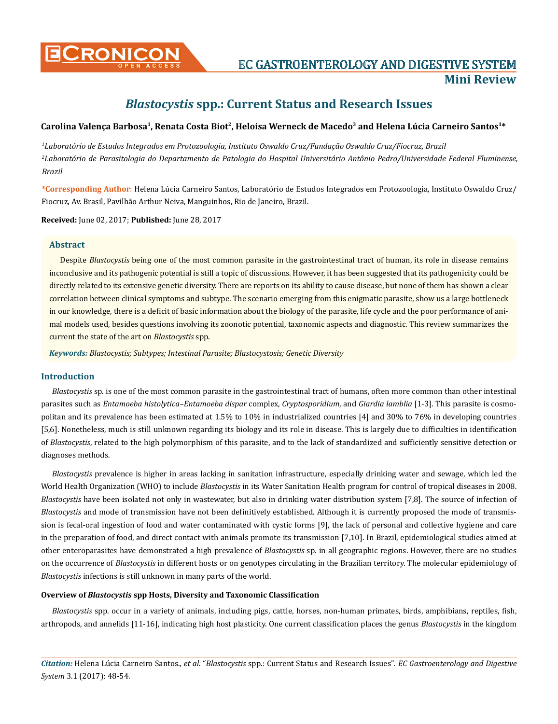

**CRONICON EC GASTROENTEROLOGY AND DIGESTIVE SYSTEM Mini Review**

# *Blastocystis* **spp.: Current Status and Research Issues**

# Carolina Valença Barbosa<sup>1</sup>, Renata Costa Biot<sup>2</sup>, Heloisa Werneck de Macedo<sup>3</sup> and Helena Lúcia Carneiro Santos<sup>1\*</sup>

*1 Laboratório de Estudos Integrados em Protozoologia, Instituto Oswaldo Cruz/Fundação Oswaldo Cruz/Fiocruz, Brazil 2 Laboratório de Parasitologia do Departamento de Patologia do Hospital Universitário Antônio Pedro/Universidade Federal Fluminense, Brazil*

**\*Corresponding Author**: Helena Lúcia Carneiro Santos, Laboratório de Estudos Integrados em Protozoologia, Instituto Oswaldo Cruz/ Fiocruz, Av. Brasil, Pavilhão Arthur Neiva, Manguinhos, Rio de Janeiro, Brazil.

**Received:** June 02, 2017; **Published:** June 28, 2017

# **Abstract**

Despite *Blastocystis* being one of the most common parasite in the gastrointestinal tract of human, its role in disease remains inconclusive and its pathogenic potential is still a topic of discussions. However, it has been suggested that its pathogenicity could be directly related to its extensive genetic diversity. There are reports on its ability to cause disease, but none of them has shown a clear correlation between clinical symptoms and subtype. The scenario emerging from this enigmatic parasite, show us a large bottleneck in our knowledge, there is a deficit of basic information about the biology of the parasite, life cycle and the poor performance of animal models used, besides questions involving its zoonotic potential, taxonomic aspects and diagnostic. This review summarizes the current the state of the art on *Blastocystis* spp.

*Keywords: Blastocystis; Subtypes; Intestinal Parasite; Blastocystosis; Genetic Diversity*

# **Introduction**

*Blastocystis* sp. is one of the most common parasite in the gastrointestinal tract of humans, often more common than other intestinal parasites such as *Entamoeba histolytica–Entamoeba dispar* complex, *Cryptosporidium*, and *Giardia lamblia* [1-3]. This parasite is cosmopolitan and its prevalence has been estimated at 1.5% to 10% in industrialized countries [4] and 30% to 76% in developing countries [5,6]. Nonetheless, much is still unknown regarding its biology and its role in disease. This is largely due to difficulties in identification of *Blastocystis*, related to the high polymorphism of this parasite, and to the lack of standardized and sufficiently sensitive detection or diagnoses methods.

*Blastocystis* prevalence is higher in areas lacking in sanitation infrastructure, especially drinking water and sewage, which led the World Health Organization (WHO) to include *Blastocystis* in its Water Sanitation Health program for control of tropical diseases in 2008. *Blastocystis* have been isolated not only in wastewater, but also in drinking water distribution system [7,8]. The source of infection of *Blastocystis* and mode of transmission have not been definitively established. Although it is currently proposed the mode of transmission is fecal-oral ingestion of food and water contaminated with cystic forms [9], the lack of personal and collective hygiene and care in the preparation of food, and direct contact with animals promote its transmission [7,10]. In Brazil, epidemiological studies aimed at other enteroparasites have demonstrated a high prevalence of *Blastocystis* sp. in all geographic regions. However, there are no studies on the occurrence of *Blastocystis* in different hosts or on genotypes circulating in the Brazilian territory. The molecular epidemiology of *Blastocystis* infections is still unknown in many parts of the world.

# **Overview of** *Blastocystis* **spp Hosts, Diversity and Taxonomic Classification**

*Blastocystis* spp. occur in a variety of animals, including pigs, cattle, horses, non-human primates, birds, amphibians, reptiles, fish, arthropods, and annelids [11-16], indicating high host plasticity. One current classification places the genus *Blastocystis* in the kingdom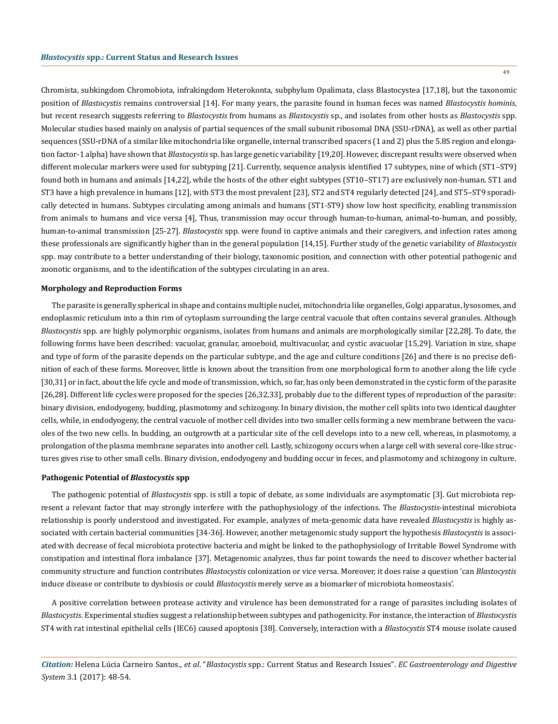Chromista, subkingdom Chromobiota, infrakingdom Heterokonta, subphylum Opalimata, class Blastocystea [17,18], but the taxonomic position of *Blastocystis* remains controversial [14]. For many years, the parasite found in human feces was named *Blastocystis hominis*, but recent research suggests referring to *Blastocystis* from humans as *Blastocystis* sp., and isolates from other hosts as *Blastocystis* spp. Molecular studies based mainly on analysis of partial sequences of the small subunit ribosomal DNA (SSU-rDNA), as well as other partial sequences (SSU-rDNA of a similar like mitochondria like organelle, internal transcribed spacers (1 and 2) plus the 5.8S region and elongation factor-1 alpha) have shown that *Blastocystis* sp. has large genetic variability [19,20]. However, discrepant results were observed when different molecular markers were used for subtyping [21]. Currently, sequence analysis identified 17 subtypes, nine of which (ST1-ST9) found both in humans and animals [14,22], while the hosts of the other eight subtypes (ST10–ST17) are exclusively non-human. ST1 and ST3 have a high prevalence in humans [12], with ST3 the most prevalent [23], ST2 and ST4 regularly detected [24], and ST5–ST9 sporadically detected in humans. Subtypes circulating among animals and humans (ST1-ST9) show low host specificity, enabling transmission from animals to humans and vice versa [4], Thus, transmission may occur through human-to-human, animal-to-human, and possibly, human-to-animal transmission [25-27]. *Blastocystis* spp. were found in captive animals and their caregivers, and infection rates among these professionals are significantly higher than in the general population [14,15]. Further study of the genetic variability of *Blastocystis* spp. may contribute to a better understanding of their biology, taxonomic position, and connection with other potential pathogenic and zoonotic organisms, and to the identification of the subtypes circulating in an area.

#### **Morphology and Reproduction Forms**

The parasite is generally spherical in shape and contains multiple nuclei, mitochondria like organelles, Golgi apparatus, lysosomes, and endoplasmic reticulum into a thin rim of cytoplasm surrounding the large central vacuole that often contains several granules. Although *Blastocystis* spp. are highly polymorphic organisms, isolates from humans and animals are morphologically similar [22,28]. To date, the following forms have been described: vacuolar, granular, amoeboid, multivacuolar, and cystic avacuolar [15,29]. Variation in size, shape and type of form of the parasite depends on the particular subtype, and the age and culture conditions [26] and there is no precise definition of each of these forms. Moreover, little is known about the transition from one morphological form to another along the life cycle [30,31] or in fact, about the life cycle and mode of transmission, which, so far, has only been demonstrated in the cystic form of the parasite [26,28]. Different life cycles were proposed for the species [26,32,33], probably due to the different types of reproduction of the parasite: binary division, endodyogeny, budding, plasmotomy and schizogony. In binary division, the mother cell splits into two identical daughter cells, while, in endodyogeny, the central vacuole of mother cell divides into two smaller cells forming a new membrane between the vacuoles of the two new cells. In budding, an outgrowth at a particular site of the cell develops into to a new cell, whereas, in plasmotomy, a prolongation of the plasma membrane separates into another cell. Lastly, schizogony occurs when a large cell with several core-like structures gives rise to other small cells. Binary division, endodyogeny and budding occur in feces, and plasmotomy and schizogony in culture.

#### **Pathogenic Potential of** *Blastocystis* **spp**

The pathogenic potential of *Blastocystis* spp. is still a topic of debate, as some individuals are asymptomatic [3]. Gut microbiota represent a relevant factor that may strongly interfere with the pathophysiology of the infections. The *Blastocystis*-intestinal microbiota relationship is poorly understood and investigated. For example, analyzes of meta-genomic data have revealed *Blastocystis* is highly associated with certain bacterial communities [34-36]. However, another metagenomic study support the hypothesis *Blastocystis* is associated with decrease of fecal microbiota protective bacteria and might be linked to the pathophysiology of Irritable Bowel Syndrome with constipation and intestinal flora imbalance [37]. Metagenomic analyzes, thus far point towards the need to discover whether bacterial community structure and function contributes *Blastocystis* colonization or vice versa. Moreover, it does raise a question 'can *Blastocystis*  induce disease or contribute to dysbiosis or could *Blastocystis* merely serve as a biomarker of microbiota homeostasis'.

A positive correlation between protease activity and virulence has been demonstrated for a range of parasites including isolates of *Blastocystis*. Experimental studies suggest a relationship between subtypes and pathogenicity. For instance, the interaction of *Blastocystis* ST4 with rat intestinal epithelial cells (IEC6) caused apoptosis [38]. Conversely, interaction with a *Blastocystis* ST4 mouse isolate caused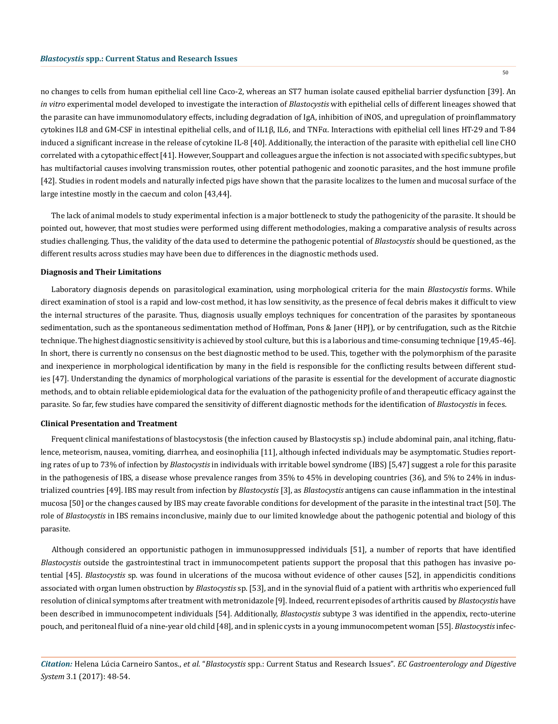no changes to cells from human epithelial cell line Caco-2, whereas an ST7 human isolate caused epithelial barrier dysfunction [39]. An *in vitro* experimental model developed to investigate the interaction of *Blastocystis* with epithelial cells of different lineages showed that the parasite can have immunomodulatory effects, including degradation of IgA, inhibition of iNOS, and upregulation of proinflammatory cytokines IL8 and GM-CSF in intestinal epithelial cells, and of IL1β, IL6, and TNFα. Interactions with epithelial cell lines HT-29 and T-84 induced a significant increase in the release of cytokine IL-8 [40]. Additionally, the interaction of the parasite with epithelial cell line CHO correlated with a cytopathic effect [41]. However, Souppart and colleagues argue the infection is not associated with specific subtypes, but has multifactorial causes involving transmission routes, other potential pathogenic and zoonotic parasites, and the host immune profile [42]. Studies in rodent models and naturally infected pigs have shown that the parasite localizes to the lumen and mucosal surface of the large intestine mostly in the caecum and colon [43,44].

The lack of animal models to study experimental infection is a major bottleneck to study the pathogenicity of the parasite. It should be pointed out, however, that most studies were performed using different methodologies, making a comparative analysis of results across studies challenging. Thus, the validity of the data used to determine the pathogenic potential of *Blastocystis* should be questioned, as the different results across studies may have been due to differences in the diagnostic methods used.

#### **Diagnosis and Their Limitations**

Laboratory diagnosis depends on parasitological examination, using morphological criteria for the main *Blastocystis* forms. While direct examination of stool is a rapid and low-cost method, it has low sensitivity, as the presence of fecal debris makes it difficult to view the internal structures of the parasite. Thus, diagnosis usually employs techniques for concentration of the parasites by spontaneous sedimentation, such as the spontaneous sedimentation method of Hoffman, Pons & Janer (HPJ), or by centrifugation, such as the Ritchie technique. The highest diagnostic sensitivity is achieved by stool culture, but this is a laborious and time-consuming technique [19,45-46]. In short, there is currently no consensus on the best diagnostic method to be used. This, together with the polymorphism of the parasite and inexperience in morphological identification by many in the field is responsible for the conflicting results between different studies [47]. Understanding the dynamics of morphological variations of the parasite is essential for the development of accurate diagnostic methods, and to obtain reliable epidemiological data for the evaluation of the pathogenicity profile of and therapeutic efficacy against the parasite. So far, few studies have compared the sensitivity of different diagnostic methods for the identification of *Blastocystis* in feces.

#### **Clinical Presentation and Treatment**

Frequent clinical manifestations of blastocystosis (the infection caused by Blastocystis sp.) include abdominal pain, anal itching, flatulence, meteorism, nausea, vomiting, diarrhea, and eosinophilia [11], although infected individuals may be asymptomatic. Studies reporting rates of up to 73% of infection by *Blastocystis* in individuals with irritable bowel syndrome (IBS) [5,47] suggest a role for this parasite in the pathogenesis of IBS, a disease whose prevalence ranges from 35% to 45% in developing countries (36), and 5% to 24% in industrialized countries [49]. IBS may result from infection by *Blastocystis* [3], as *Blastocystis* antigens can cause inflammation in the intestinal mucosa [50] or the changes caused by IBS may create favorable conditions for development of the parasite in the intestinal tract [50]. The role of *Blastocystis* in IBS remains inconclusive, mainly due to our limited knowledge about the pathogenic potential and biology of this parasite.

Although considered an opportunistic pathogen in immunosuppressed individuals [51], a number of reports that have identified *Blastocystis* outside the gastrointestinal tract in immunocompetent patients support the proposal that this pathogen has invasive potential [45]. *Blastocystis* sp. was found in ulcerations of the mucosa without evidence of other causes [52], in appendicitis conditions associated with organ lumen obstruction by *Blastocystis* sp. [53], and in the synovial fluid of a patient with arthritis who experienced full resolution of clinical symptoms after treatment with metronidazole [9]. Indeed, recurrent episodes of arthritis caused by *Blastocystis* have been described in immunocompetent individuals [54]. Additionally, *Blastocystis* subtype 3 was identified in the appendix, recto-uterine pouch, and peritoneal fluid of a nine-year old child [48], and in splenic cysts in a young immunocompetent woman [55]. *Blastocystis* infec-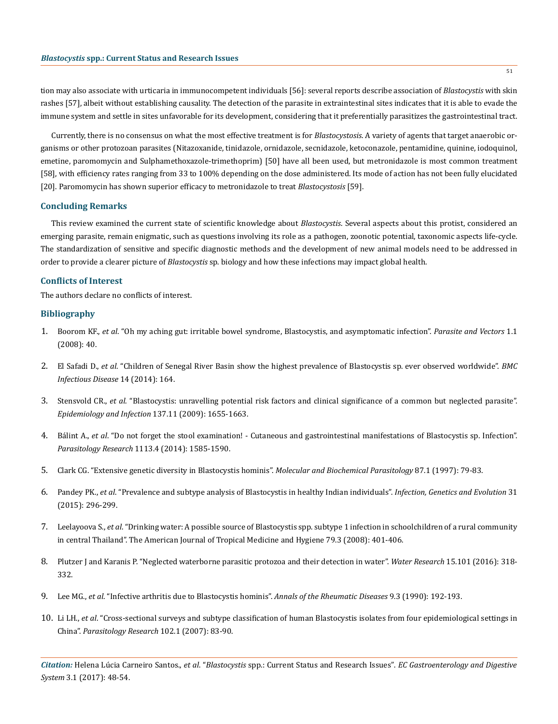tion may also associate with urticaria in immunocompetent individuals [56]: several reports describe association of *Blastocystis* with skin rashes [57], albeit without establishing causality. The detection of the parasite in extraintestinal sites indicates that it is able to evade the immune system and settle in sites unfavorable for its development, considering that it preferentially parasitizes the gastrointestinal tract.

Currently, there is no consensus on what the most effective treatment is for *Blastocystosis*. A variety of agents that target anaerobic organisms or other protozoan parasites (Nitazoxanide, tinidazole, ornidazole, secnidazole, ketoconazole, pentamidine, quinine, iodoquinol, emetine, paromomycin and Sulphamethoxazole-trimethoprim) [50] have all been used, but metronidazole is most common treatment [58], with efficiency rates ranging from 33 to 100% depending on the dose administered. Its mode of action has not been fully elucidated [20]. Paromomycin has shown superior efficacy to metronidazole to treat *Blastocystosis* [59].

## **Concluding Remarks**

This review examined the current state of scientific knowledge about *Blastocystis*. Several aspects about this protist, considered an emerging parasite, remain enigmatic, such as questions involving its role as a pathogen, zoonotic potential, taxonomic aspects life-cycle. The standardization of sensitive and specific diagnostic methods and the development of new animal models need to be addressed in order to provide a clearer picture of *Blastocystis* sp. biology and how these infections may impact global health.

# **Conflicts of Interest**

The authors declare no conflicts of interest.

### **Bibliography**

- 1. Boorom KF., *et al*[. "Oh my aching gut: irritable bowel syndrome, Blastocystis, and asymptomatic infection".](https://www.ncbi.nlm.nih.gov/pubmed/18937%20874) *Parasite and Vectors* 1.1 [\(2008\): 40.](https://www.ncbi.nlm.nih.gov/pubmed/18937%20874)
- 2. El Safadi D., *et al*[. "Children of Senegal River Basin show the highest prevalence of Blastocystis sp. ever observed worldwide".](https://www.ncbi.nlm.nih.gov/pubmed/24666632) *BMC [Infectious Disease](https://www.ncbi.nlm.nih.gov/pubmed/24666632)* 14 (2014): 164.
- 3. Stensvold CR., *et al*[. "Blastocystis: unravelling potential risk factors and clinical significance of a common but neglected parasite".](https://www.ncbi.nlm.nih.gov/pubmed/19393117)  *[Epidemiology and Infection](https://www.ncbi.nlm.nih.gov/pubmed/19393117)* 137.11 (2009): 1655-1663.
- 4. Bálint A., *et al*[. "Do not forget the stool examination! Cutaneous and gastrointestinal manifestations of Blastocystis sp. Infection".](https://www.ncbi.nlm.nih.gov/pubmed/24553977)  *Parasitology Research* [1113.4 \(2014\): 1585-1590.](https://www.ncbi.nlm.nih.gov/pubmed/24553977)
- 5. [Clark CG. "Extensive genetic diversity in Blastocystis hominis".](https://www.ncbi.nlm.nih.gov/pubmed/9233675) *Molecular and Biochemical Parasitology* 87.1 (1997): 79-83.
- 6. Pandey PK., *et al*[. "Prevalence and subtype analysis of Blastocystis in healthy Indian individuals".](https://www.ncbi.nlm.nih.gov/pubmed/25701123) *Infection, Genetics and Evolution* 31 [\(2015\): 296-299.](https://www.ncbi.nlm.nih.gov/pubmed/25701123)
- 7. Leelayoova S., *et al*[. "Drinking water: A possible source of Blastocystis spp. subtype 1 infection in schoolchildren of a rural community](https://www.ncbi.nlm.nih.gov/pubmed/18784233)  [in central Thailand". The American Journal of Tropical Medicine and Hygiene 79.3 \(2008\): 401-406.](https://www.ncbi.nlm.nih.gov/pubmed/18784233)
- 8. [Plutzer J and Karanis P. "Neglected](https://www.ncbi.nlm.nih.gov/pubmed/27281375) waterborne parasitic protozoa and their detection in water". *Water Research* 15.101 (2016): 318- [332.](https://www.ncbi.nlm.nih.gov/pubmed/27281375)
- 9. Lee MG., *et al*[. "Infective arthritis due to Blastocystis hominis".](https://www.ncbi.nlm.nih.gov/pubmed/2322029) *Annals of the Rheumatic Diseases* 9.3 (1990): 192-193.
- 10. Li LH., *et al*[. "Cross-sectional surveys and subtype classification of human Blastocystis isolates from four epidemiological settings in](https://www.ncbi.nlm.nih.gov/pubmed/17912552)  China". *[Parasitology Research](https://www.ncbi.nlm.nih.gov/pubmed/17912552)* 102.1 (2007): 83-90.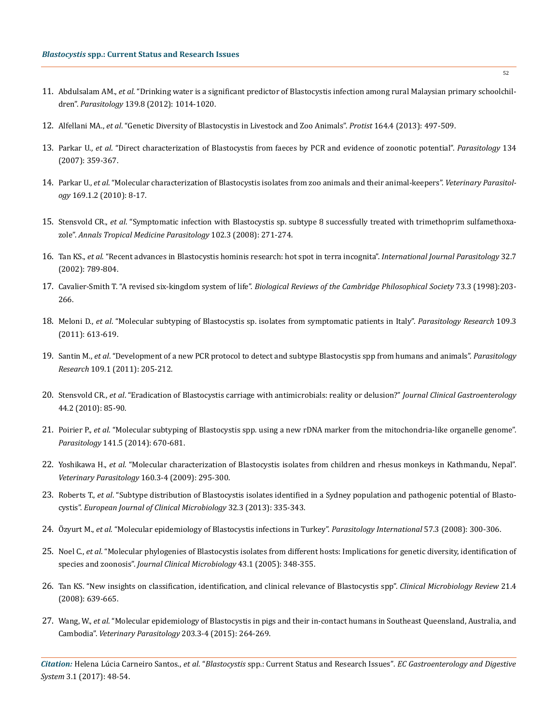- 11. Abdulsalam AM., *et al*[. "Drinking water is a significant predictor of Blastocystis infection among rural Malaysian primary schoolchil](https://www.ncbi.nlm.nih.gov/pubmed/22444778)dren". *Parasitology* [139.8 \(2012\): 1014-1020.](https://www.ncbi.nlm.nih.gov/pubmed/22444778)
- 12. Alfellani MA., *et al*[. "Genetic Diversity of Blastocystis in Livestock and Zoo Animals".](https://www.ncbi.nlm.nih.gov/pubmed/23770574) *Protist* 164.4 (2013): 497-509.
- 13. Parkar U., *et al*[. "Direct characterization of Blastocystis from faeces by PCR and evidence of zoonotic potential".](https://www.ncbi.nlm.nih.gov/pubmed/17052374) *Parasitology* 134 [\(2007\): 359-367.](https://www.ncbi.nlm.nih.gov/pubmed/17052374)
- 14. Parkar U., *et al*[. "Molecular characterization of Blastocystis isolates from zoo animals and their animal-keepers".](https://www.ncbi.nlm.nih.gov/pubmed/20089360) *Veterinary Parasitology* [169.1.2 \(2010\): 8-17.](https://www.ncbi.nlm.nih.gov/pubmed/20089360)
- 15. Stensvold CR., *et al*[. "Symptomatic infection with Blastocystis sp. subtype 8 successfully treated with trimethoprim sulfamethoxa](https://www.ncbi.nlm.nih.gov/pubmed/18348782)zole". *[Annals Tropical Medicine Parasitology](https://www.ncbi.nlm.nih.gov/pubmed/18348782)* 102.3 (2008): 271-274.
- 16. Tan KS., *et al*[. "Recent advances in Blastocystis hominis research: hot spot in terra incognita".](https://www.ncbi.nlm.nih.gov/pubmed/12062550) *International Journal Parasitology* 32.7 [\(2002\): 789-804.](https://www.ncbi.nlm.nih.gov/pubmed/12062550)
- 17. Cavalier-Smith T. "A revised six-kingdom system of life". *[Biological Reviews of the Cambridge Philosophical Society](https://www.ncbi.nlm.nih.gov/pubmed/9809012)* 73.3 (1998):203- [266.](https://www.ncbi.nlm.nih.gov/pubmed/9809012)
- 18. Meloni D., *et al*[. "Molecular subtyping of Blastocystis sp. isolates from symptomatic patients in Italy".](https://www.ncbi.nlm.nih.gov/pubmed/21340563) *Parasitology Research* 109.3 [\(2011\): 613-619.](https://www.ncbi.nlm.nih.gov/pubmed/21340563)
- 19. Santin M., *et al*[. "Development of a new PCR protocol to detect and subtype Blastocystis spp from humans and animals".](https://www.ncbi.nlm.nih.gov/pubmed/21210149) *Parasitology Research* [109.1 \(2011\): 205-212.](https://www.ncbi.nlm.nih.gov/pubmed/21210149)
- 20. Stensvold CR., *et al*[. "Eradication of Blastocystis carriage with antimicrobials: reality or delusion?"](https://www.ncbi.nlm.nih.gov/pubmed/19834337) *Journal Clinical Gastroenterology* [44.2 \(2010\): 85-90.](https://www.ncbi.nlm.nih.gov/pubmed/19834337)
- 21. Poirier P., *et al*[. "Molecular subtyping of Blastocystis spp. using a new rDNA marker from the mitochondria-like organelle genome".](https://www.ncbi.nlm.nih.gov/pubmed/24467909)  *Parasitology* [141.5 \(2014\): 670-681.](https://www.ncbi.nlm.nih.gov/pubmed/24467909)
- 22. Yoshikawa H., *et al*[. "Molecular characterization of Blastocystis isolates from children and rhesus monkeys in Kathmandu, Nepal".](https://www.ncbi.nlm.nih.gov/pubmed/19136214) *[Veterinary Parasitology](https://www.ncbi.nlm.nih.gov/pubmed/19136214)* 160.3-4 (2009): 295-300.
- 23. Roberts T., *et al*[. "Subtype distribution of Blastocystis isolates identified in a Sydney population and pathogenic potential of Blasto](https://www.ncbi.nlm.nih.gov/pubmed/22996007)cystis". *[European Journal of Clinical Microbiology](https://www.ncbi.nlm.nih.gov/pubmed/22996007)* 32.3 (2013): 335-343.
- 24. Özyurt M., *et al*[. "Molecular epidemiology of Blastocystis infections in Turkey".](https://www.ncbi.nlm.nih.gov/pubmed/18337161) *Parasitology International* 57.3 (2008): 300-306.
- 25. Noel C., *et al*. "[Molecular phylogenies of Blastocystis isolates from different hosts: Implications for genetic diversity, identification of](https://www.ncbi.nlm.nih.gov/pubmed/15634993)  species and zoonosis". *[Journal Clinical Microbiology](https://www.ncbi.nlm.nih.gov/pubmed/15634993)* 43.1 (2005): 348-355.
- 26. [Tan KS. "New insights on classification, identification, and clinical relevance of Blastocystis spp".](https://www.ncbi.nlm.nih.gov/pubmed/18854485) *Clinical Microbiology Review* 21.4 [\(2008\): 639-665.](https://www.ncbi.nlm.nih.gov/pubmed/18854485)
- 27. Wang, W., *et al*[. "Molecular epidemiology of Blastocystis in pigs and their in-contact humans in Southeast Queensland, Australia, and](https://www.ncbi.nlm.nih.gov/pubmed/24785292)  Cambodia". *[Veterinary Parasitology](https://www.ncbi.nlm.nih.gov/pubmed/24785292)* 203.3-4 (2015): 264-269.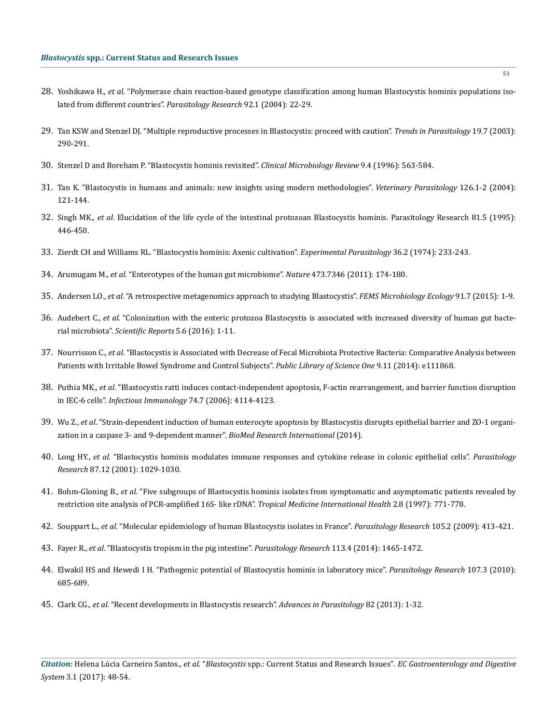- 28. Yoshikawa H., *et al*. "[Polymerase chain reaction-based genotype classification among human Blastocystis hominis populations iso](https://www.ncbi.nlm.nih.gov/pubmed/14598169)[lated from different countries".](https://www.ncbi.nlm.nih.gov/pubmed/14598169) *Parasitology Research* 92.1 (2004): 22-29.
- 29. [Tan KSW and Stenzel DJ. "Multiple reproductive processes in Blastocystis: proceed with caution".](https://www.ncbi.nlm.nih.gov/pubmed/12855376) *Trends in Parasitology* 19.7 (2003): [290-291.](https://www.ncbi.nlm.nih.gov/pubmed/12855376)
- 30. [Stenzel D and Boreham P. "Blastocystis hominis revisited".](https://www.ncbi.nlm.nih.gov/pubmed/8894352) *Clinical Microbiology Review* 9.4 (1996): 563-584.
- 31. [Tan K. "Blastocystis in humans and animals: new insights using modern methodologies".](https://www.ncbi.nlm.nih.gov/pubmed/%2015567582) *Veterinary Parasitology* 126.1-2 (2004): [121-144.](https://www.ncbi.nlm.nih.gov/pubmed/%2015567582)
- 32. Singh MK., *et al*[. Elucidation of the life cycle of the intestinal protozoan Blastocystis hominis. Parasitology Research 81.5 \(1995\):](https://www.ncbi.nlm.nih.gov/pubmed/7501648) [446-450.](https://www.ncbi.nlm.nih.gov/pubmed/7501648)
- 33. [Zierdt CH and Williams RL. "Blastocystis hominis: Axenic cultivation".](https://www.ncbi.nlm.nih.gov/pubmed/4369819) *Experimental Parasitology* 36.2 (1974): 233-243.
- 34. Arumugam M., *et al*. ["Enterotypes of the human gut microbiome".](https://www.ncbi.nlm.nih.gov/pubmed/21508958) *Nature* 473.7346 (2011): 174-180.
- 35. Andersen LO., *et al*[. "A retrospective metagenomics approach to studying Blastocystis".](https://www.ncbi.nlm.nih.gov/pubmed/26130823) *FEMS Microbiology Ecology* 91.7 (2015): 1-9.
- 36. Audebert C., *et al*. "Colonization with the enteric [protozoa Blastocystis is associated with](https://www.nature.com/articles/srep25255) increased diversity of human gut bacterial microbiota". *[Scientific Reports](https://www.nature.com/articles/srep25255)* 5.6 (2016): 1-11.
- 37. Nourrisson C., *et al*. "Blastocystis [is Associated with Decrease of Fecal Microbiota Protective Bacteria: Comparative Analysis between](https://www.ncbi.nlm.nih.gov/pubmed/25365580) [Patients with Irritable Bowel Syndrome and Control Subjects".](https://www.ncbi.nlm.nih.gov/pubmed/25365580) *Public Library of Science One* 9.11 (2014): e111868.
- 38. Puthia MK., *et al*[. "Blastocystis ratti induces contact-independent apoptosis, F-actin rearrangement, and barrier function disruption](https://www.ncbi.nlm.nih.gov/pubmed/16790785) in IEC-6 cells". *[Infectious Immunology](https://www.ncbi.nlm.nih.gov/pubmed/16790785)* 74.7 (2006): 4114-4123.
- 39. Wu Z., *et al*[. "Strain-dependent induction of human enterocyte apoptosis by Blastocystis disrupts epithelial barrier and ZO-1 organi](https://www.ncbi.nlm.nih.gov/pubmed/24822183)[zation in a caspase 3- and 9-dependent manner".](https://www.ncbi.nlm.nih.gov/pubmed/24822183) *BioMed Research International* (2014).
- 40. Long HY., *et al*[. "Blastocystis hominis modulates immune responses and cytokine release in colonic epithelial cells".](https://www.ncbi.nlm.nih.gov/pubmed/11763434) *Parasitology Research* [87.12 \(2001\): 1029-1030.](https://www.ncbi.nlm.nih.gov/pubmed/11763434)
- 41. Bohm-Gloning B., *et al*[. "Five subgroups of Blastocystis hominis isolates from symptomatic and asymptomatic patients revealed by](https://www.ncbi.nlm.nih.gov/pubmed/9294547) [restriction site analysis of PCR-amplified 16S- like rDNA".](https://www.ncbi.nlm.nih.gov/pubmed/9294547) *Tropical Medicine International Health* 2.8 (1997): 771-778.
- 42. Souppart L., *et al*[. "Molecular epidemiology of human Blastocystis isolates in France".](https://www.ncbi.nlm.nih.gov/pubmed/19290540) *Parasitology Research* 105.2 (2009): 413-421.
- 43. Fayer R., *et al*[. "Blastocystis tropism in the pig intestine".](https://www.ncbi.nlm.nih.gov/pubmed/24535732) *Parasitology Research* 113.4 (2014): 1465-1472.
- 44. [Elwakil HS and Hewedi I H. "Pathogenic potential of Blastocystis hominis in laboratory mice".](https://www.ncbi.nlm.nih.gov/pubmed/20499092) *Parasitology Research* 107.3 (2010): [685-689.](https://www.ncbi.nlm.nih.gov/pubmed/20499092)
- 45. Clark CG., *et al*[. "Recent developments in Blastocystis research".](https://www.ncbi.nlm.nih.gov/pubmed/23548084) *Advances in Parasitology* 82 (2013): 1-32.